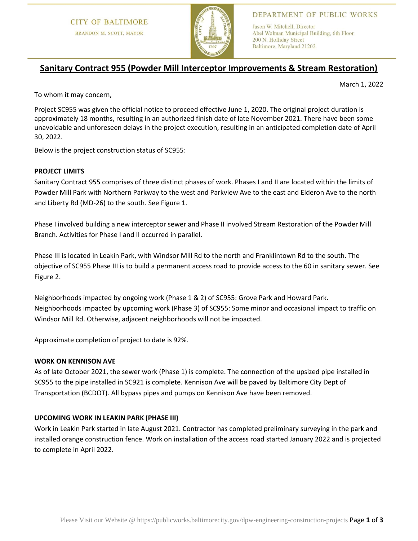

## DEPARTMENT OF PUBLIC WORKS

Jason W. Mitchell, Director Abel Wolman Municipal Building, 6th Floor 200 N. Holliday Street Baltimore, Maryland 21202

# **Sanitary Contract 955 (Powder Mill Interceptor Improvements & Stream Restoration)**

March 1, 2022

To whom it may concern,

Project SC955 was given the official notice to proceed effective June 1, 2020. The original project duration is approximately 18 months, resulting in an authorized finish date of late November 2021. There have been some unavoidable and unforeseen delays in the project execution, resulting in an anticipated completion date of April 30, 2022.

Below is the project construction status of SC955:

### **PROJECT LIMITS**

Sanitary Contract 955 comprises of three distinct phases of work. Phases I and II are located within the limits of Powder Mill Park with Northern Parkway to the west and Parkview Ave to the east and Elderon Ave to the north and Liberty Rd (MD-26) to the south. See Figure 1.

Phase I involved building a new interceptor sewer and Phase II involved Stream Restoration of the Powder Mill Branch. Activities for Phase I and II occurred in parallel.

Phase III is located in Leakin Park, with Windsor Mill Rd to the north and Franklintown Rd to the south. The objective of SC955 Phase III is to build a permanent access road to provide access to the 60 in sanitary sewer. See Figure 2.

Neighborhoods impacted by ongoing work (Phase 1 & 2) of SC955: Grove Park and Howard Park. Neighborhoods impacted by upcoming work (Phase 3) of SC955: Some minor and occasional impact to traffic on Windsor Mill Rd. Otherwise, adjacent neighborhoods will not be impacted.

Approximate completion of project to date is 92%.

#### **WORK ON KENNISON AVE**

As of late October 2021, the sewer work (Phase 1) is complete. The connection of the upsized pipe installed in SC955 to the pipe installed in SC921 is complete. Kennison Ave will be paved by Baltimore City Dept of Transportation (BCDOT). All bypass pipes and pumps on Kennison Ave have been removed.

## **UPCOMING WORK IN LEAKIN PARK (PHASE III)**

Work in Leakin Park started in late August 2021. Contractor has completed preliminary surveying in the park and installed orange construction fence. Work on installation of the access road started January 2022 and is projected to complete in April 2022.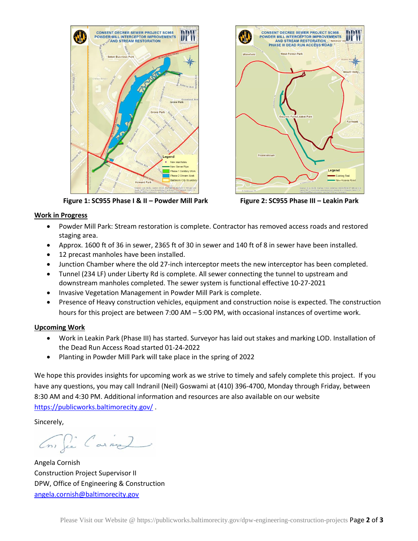

 **Figure 1: SC955 Phase I & II – Powder Mill Park Figure 2: SC955 Phase III – Leakin Park**



#### **Work in Progress**

- Powder Mill Park: Stream restoration is complete. Contractor has removed access roads and restored staging area.
- Approx. 1600 ft of 36 in sewer, 2365 ft of 30 in sewer and 140 ft of 8 in sewer have been installed.
- 12 precast manholes have been installed.
- Junction Chamber where the old 27-inch interceptor meets the new interceptor has been completed.
- Tunnel (234 LF) under Liberty Rd is complete. All sewer connecting the tunnel to upstream and downstream manholes completed. The sewer system is functional effective 10-27-2021
- Invasive Vegetation Management in Powder Mill Park is complete.
- Presence of Heavy construction vehicles, equipment and construction noise is expected. The construction hours for this project are between 7:00 AM – 5:00 PM, with occasional instances of overtime work.

#### **Upcoming Work**

- Work in Leakin Park (Phase III) has started. Surveyor has laid out stakes and marking LOD. Installation of the Dead Run Access Road started 01-24-2022
- Planting in Powder Mill Park will take place in the spring of 2022

We hope this provides insights for upcoming work as we strive to timely and safely complete this project. If you have any questions, you may call Indranil (Neil) Goswami at (410) 396-4700, Monday through Friday, between 8:30 AM and 4:30 PM. Additional information and resources are also available on our website <https://publicworks.baltimorecity.gov/> .

Sincerely,

Con fie Carne

Angela Cornish Construction Project Supervisor II DPW, Office of Engineering & Construction [angela.cornish@baltimorecity.gov](mailto:angela.cornish@baltimorecity.gov)